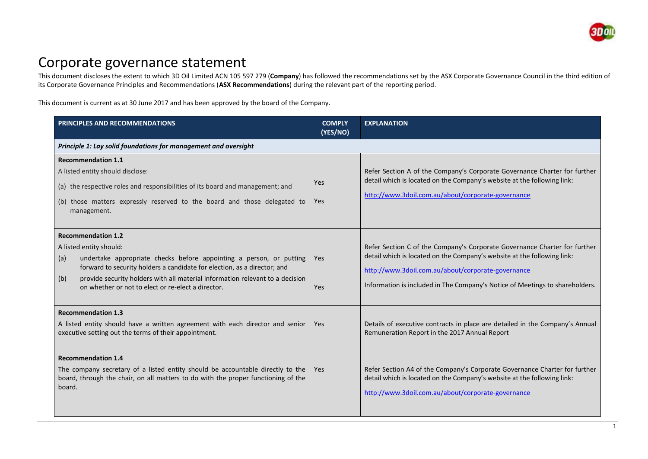

## Corporate governance statement

This document discloses the extent to which 3D Oil Limited ACN 105 597 279 (**Company**) has followed the recommendations set by the ASX Corporate Governance Council in the third edition of its Corporate Governance Principles and Recommendations (**ASX Recommendations**) during the relevant part of the reporting period.

This document is current as at 30 June 2017 and has been approved by the board of the Company.

| PRINCIPLES AND RECOMMENDATIONS                                                                                                                                                                                                                                                                                                                               | <b>COMPLY</b><br>(YES/NO) | <b>EXPLANATION</b>                                                                                                                                                                                                                                                                         |
|--------------------------------------------------------------------------------------------------------------------------------------------------------------------------------------------------------------------------------------------------------------------------------------------------------------------------------------------------------------|---------------------------|--------------------------------------------------------------------------------------------------------------------------------------------------------------------------------------------------------------------------------------------------------------------------------------------|
| Principle 1: Lay solid foundations for management and oversight                                                                                                                                                                                                                                                                                              |                           |                                                                                                                                                                                                                                                                                            |
| <b>Recommendation 1.1</b><br>A listed entity should disclose:<br>(a) the respective roles and responsibilities of its board and management; and<br>(b) those matters expressly reserved to the board and those delegated to<br>management.                                                                                                                   | Yes<br>Yes                | Refer Section A of the Company's Corporate Governance Charter for further<br>detail which is located on the Company's website at the following link:<br>http://www.3doil.com.au/about/corporate-governance                                                                                 |
| <b>Recommendation 1.2</b><br>A listed entity should:<br>undertake appropriate checks before appointing a person, or putting<br>(a)<br>forward to security holders a candidate for election, as a director; and<br>provide security holders with all material information relevant to a decision<br>(b)<br>on whether or not to elect or re-elect a director. | Yes<br>Yes                | Refer Section C of the Company's Corporate Governance Charter for further<br>detail which is located on the Company's website at the following link:<br>http://www.3doil.com.au/about/corporate-governance<br>Information is included in The Company's Notice of Meetings to shareholders. |
| <b>Recommendation 1.3</b><br>A listed entity should have a written agreement with each director and senior<br>executive setting out the terms of their appointment.                                                                                                                                                                                          | Yes.                      | Details of executive contracts in place are detailed in the Company's Annual<br>Remuneration Report in the 2017 Annual Report                                                                                                                                                              |
| <b>Recommendation 1.4</b><br>The company secretary of a listed entity should be accountable directly to the<br>board, through the chair, on all matters to do with the proper functioning of the<br>board.                                                                                                                                                   | Yes                       | Refer Section A4 of the Company's Corporate Governance Charter for further<br>detail which is located on the Company's website at the following link:<br>http://www.3doil.com.au/about/corporate-governance                                                                                |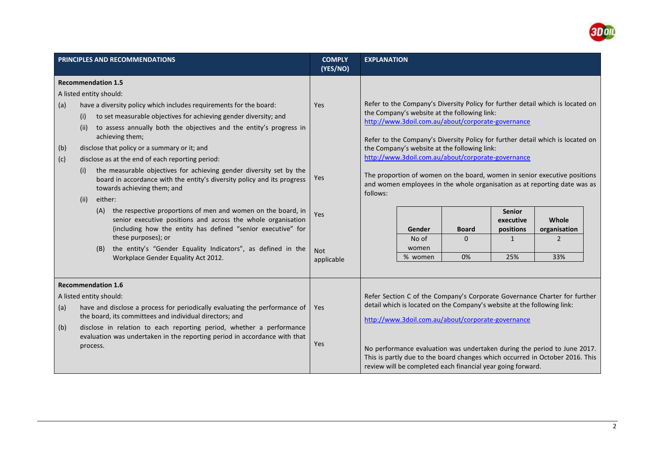

|                   | PRINCIPLES AND RECOMMENDATIONS                                                                                                                                                                                                                                                                                                                                                                                                                                                                                                                                                                                         | <b>COMPLY</b><br>(YES/NO)       | <b>EXPLANATION</b>                                                                                                                                                                                                                                                                                                                                                                                                                                                                                                                                 |
|-------------------|------------------------------------------------------------------------------------------------------------------------------------------------------------------------------------------------------------------------------------------------------------------------------------------------------------------------------------------------------------------------------------------------------------------------------------------------------------------------------------------------------------------------------------------------------------------------------------------------------------------------|---------------------------------|----------------------------------------------------------------------------------------------------------------------------------------------------------------------------------------------------------------------------------------------------------------------------------------------------------------------------------------------------------------------------------------------------------------------------------------------------------------------------------------------------------------------------------------------------|
| (a)<br>(b)<br>(c) | <b>Recommendation 1.5</b><br>A listed entity should:<br>have a diversity policy which includes requirements for the board:<br>to set measurable objectives for achieving gender diversity; and<br>(i)<br>to assess annually both the objectives and the entity's progress in<br>(ii)<br>achieving them;<br>disclose that policy or a summary or it; and<br>disclose as at the end of each reporting period:<br>the measurable objectives for achieving gender diversity set by the<br>(i)<br>board in accordance with the entity's diversity policy and its progress<br>towards achieving them; and<br>either:<br>(ii) | Yes<br>Yes                      | Refer to the Company's Diversity Policy for further detail which is located on<br>the Company's website at the following link:<br>http://www.3doil.com.au/about/corporate-governance<br>Refer to the Company's Diversity Policy for further detail which is located on<br>the Company's website at the following link:<br>http://www.3doil.com.au/about/corporate-governance<br>The proportion of women on the board, women in senior executive positions<br>and women employees in the whole organisation as at reporting date was as<br>follows: |
|                   | the respective proportions of men and women on the board, in<br>(A)<br>senior executive positions and across the whole organisation<br>(including how the entity has defined "senior executive" for<br>these purposes); or<br>the entity's "Gender Equality Indicators", as defined in the<br>(B)<br>Workplace Gender Equality Act 2012.                                                                                                                                                                                                                                                                               | Yes<br><b>Not</b><br>applicable | <b>Senior</b><br>executive<br>Whole<br>positions<br>organisation<br><b>Board</b><br>Gender<br>No of<br>$\Omega$<br>$\mathbf{1}$<br>2<br>women<br>0%<br>% women<br>25%<br>33%                                                                                                                                                                                                                                                                                                                                                                       |
| (a)<br>(b)        | <b>Recommendation 1.6</b><br>A listed entity should:<br>have and disclose a process for periodically evaluating the performance of<br>the board, its committees and individual directors; and<br>disclose in relation to each reporting period, whether a performance<br>evaluation was undertaken in the reporting period in accordance with that<br>process.                                                                                                                                                                                                                                                         | Yes<br>Yes                      | Refer Section C of the Company's Corporate Governance Charter for further<br>detail which is located on the Company's website at the following link:<br>http://www.3doil.com.au/about/corporate-governance<br>No performance evaluation was undertaken during the period to June 2017.<br>This is partly due to the board changes which occurred in October 2016. This<br>review will be completed each financial year going forward.                                                                                                              |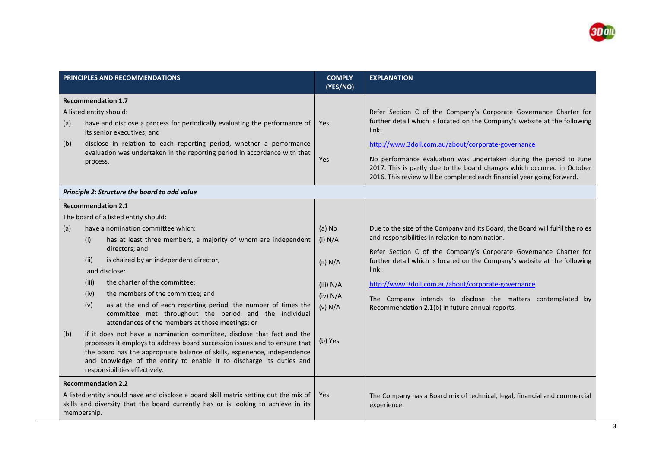

|            | PRINCIPLES AND RECOMMENDATIONS                                                                                                                                                                                                                                                                                                                                                                                                                                                                                                                                                                                                                                                                                                                                                                                                                                                                     | <b>COMPLY</b><br>(YES/NO)                                                      | <b>EXPLANATION</b>                                                                                                                                                                                                                                                                                                                                                                                                                                                  |
|------------|----------------------------------------------------------------------------------------------------------------------------------------------------------------------------------------------------------------------------------------------------------------------------------------------------------------------------------------------------------------------------------------------------------------------------------------------------------------------------------------------------------------------------------------------------------------------------------------------------------------------------------------------------------------------------------------------------------------------------------------------------------------------------------------------------------------------------------------------------------------------------------------------------|--------------------------------------------------------------------------------|---------------------------------------------------------------------------------------------------------------------------------------------------------------------------------------------------------------------------------------------------------------------------------------------------------------------------------------------------------------------------------------------------------------------------------------------------------------------|
| (a)<br>(b) | <b>Recommendation 1.7</b><br>A listed entity should:<br>have and disclose a process for periodically evaluating the performance of<br>its senior executives; and<br>disclose in relation to each reporting period, whether a performance<br>evaluation was undertaken in the reporting period in accordance with that<br>process.                                                                                                                                                                                                                                                                                                                                                                                                                                                                                                                                                                  | Yes<br>Yes                                                                     | Refer Section C of the Company's Corporate Governance Charter for<br>further detail which is located on the Company's website at the following<br>link:<br>http://www.3doil.com.au/about/corporate-governance<br>No performance evaluation was undertaken during the period to June<br>2017. This is partly due to the board changes which occurred in October<br>2016. This review will be completed each financial year going forward.                            |
|            | Principle 2: Structure the board to add value                                                                                                                                                                                                                                                                                                                                                                                                                                                                                                                                                                                                                                                                                                                                                                                                                                                      |                                                                                |                                                                                                                                                                                                                                                                                                                                                                                                                                                                     |
| (a)<br>(b) | <b>Recommendation 2.1</b><br>The board of a listed entity should:<br>have a nomination committee which:<br>has at least three members, a majority of whom are independent<br>(i)<br>directors; and<br>is chaired by an independent director,<br>(ii)<br>and disclose:<br>the charter of the committee;<br>(iii)<br>the members of the committee; and<br>(iv)<br>as at the end of each reporting period, the number of times the<br>(v)<br>committee met throughout the period and the individual<br>attendances of the members at those meetings; or<br>if it does not have a nomination committee, disclose that fact and the<br>processes it employs to address board succession issues and to ensure that<br>the board has the appropriate balance of skills, experience, independence<br>and knowledge of the entity to enable it to discharge its duties and<br>responsibilities effectively. | $(a)$ No<br>(i) N/A<br>(ii) N/A<br>(iii) N/A<br>(iv) N/A<br>(v) N/A<br>(b) Yes | Due to the size of the Company and its Board, the Board will fulfil the roles<br>and responsibilities in relation to nomination.<br>Refer Section C of the Company's Corporate Governance Charter for<br>further detail which is located on the Company's website at the following<br>link:<br>http://www.3doil.com.au/about/corporate-governance<br>The Company intends to disclose the matters contemplated by<br>Recommendation 2.1(b) in future annual reports. |
|            | <b>Recommendation 2.2</b><br>A listed entity should have and disclose a board skill matrix setting out the mix of<br>skills and diversity that the board currently has or is looking to achieve in its<br>membership.                                                                                                                                                                                                                                                                                                                                                                                                                                                                                                                                                                                                                                                                              | <b>Yes</b>                                                                     | The Company has a Board mix of technical, legal, financial and commercial<br>experience.                                                                                                                                                                                                                                                                                                                                                                            |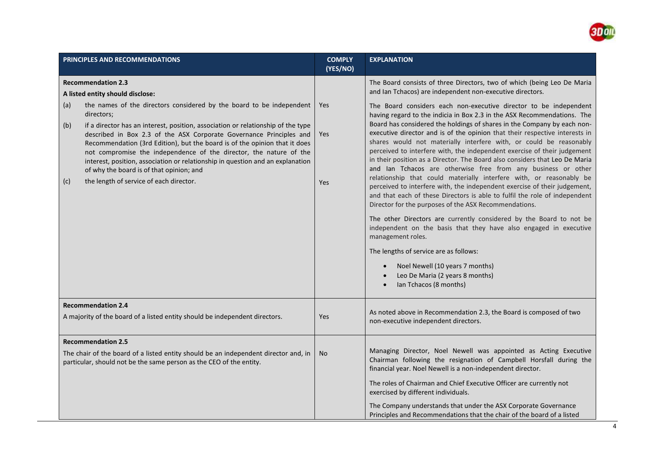

|                   | PRINCIPLES AND RECOMMENDATIONS                                                                                                                                                                                                                                                                                                                                                                                                                                                                                                                                             | <b>COMPLY</b><br>(YES/NO) | <b>EXPLANATION</b>                                                                                                                                                                                                                                                                                                                                                                                                                                                                                                                                                                                                                                                                                                                                                                                                                                                                                                                                                                                                                                                                                                                                                                                |
|-------------------|----------------------------------------------------------------------------------------------------------------------------------------------------------------------------------------------------------------------------------------------------------------------------------------------------------------------------------------------------------------------------------------------------------------------------------------------------------------------------------------------------------------------------------------------------------------------------|---------------------------|---------------------------------------------------------------------------------------------------------------------------------------------------------------------------------------------------------------------------------------------------------------------------------------------------------------------------------------------------------------------------------------------------------------------------------------------------------------------------------------------------------------------------------------------------------------------------------------------------------------------------------------------------------------------------------------------------------------------------------------------------------------------------------------------------------------------------------------------------------------------------------------------------------------------------------------------------------------------------------------------------------------------------------------------------------------------------------------------------------------------------------------------------------------------------------------------------|
|                   | <b>Recommendation 2.3</b><br>A listed entity should disclose:                                                                                                                                                                                                                                                                                                                                                                                                                                                                                                              |                           | The Board consists of three Directors, two of which (being Leo De Maria<br>and Ian Tchacos) are independent non-executive directors.                                                                                                                                                                                                                                                                                                                                                                                                                                                                                                                                                                                                                                                                                                                                                                                                                                                                                                                                                                                                                                                              |
| (a)<br>(b)<br>(c) | the names of the directors considered by the board to be independent<br>directors;<br>if a director has an interest, position, association or relationship of the type<br>described in Box 2.3 of the ASX Corporate Governance Principles and<br>Recommendation (3rd Edition), but the board is of the opinion that it does<br>not compromise the independence of the director, the nature of the<br>interest, position, association or relationship in question and an explanation<br>of why the board is of that opinion; and<br>the length of service of each director. | Yes<br>Yes<br><b>Yes</b>  | The Board considers each non-executive director to be independent<br>having regard to the indicia in Box 2.3 in the ASX Recommendations. The<br>Board has considered the holdings of shares in the Company by each non-<br>executive director and is of the opinion that their respective interests in<br>shares would not materially interfere with, or could be reasonably<br>perceived to interfere with, the independent exercise of their judgement<br>in their position as a Director. The Board also considers that Leo De Maria<br>and Ian Tchacos are otherwise free from any business or other<br>relationship that could materially interfere with, or reasonably be<br>perceived to interfere with, the independent exercise of their judgement,<br>and that each of these Directors is able to fulfil the role of independent<br>Director for the purposes of the ASX Recommendations.<br>The other Directors are currently considered by the Board to not be<br>independent on the basis that they have also engaged in executive<br>management roles.<br>The lengths of service are as follows:<br>Noel Newell (10 years 7 months)<br>$\bullet$<br>Leo De Maria (2 years 8 months) |
|                   |                                                                                                                                                                                                                                                                                                                                                                                                                                                                                                                                                                            |                           | Ian Tchacos (8 months)                                                                                                                                                                                                                                                                                                                                                                                                                                                                                                                                                                                                                                                                                                                                                                                                                                                                                                                                                                                                                                                                                                                                                                            |
|                   | <b>Recommendation 2.4</b><br>A majority of the board of a listed entity should be independent directors.                                                                                                                                                                                                                                                                                                                                                                                                                                                                   | Yes                       | As noted above in Recommendation 2.3, the Board is composed of two<br>non-executive independent directors.                                                                                                                                                                                                                                                                                                                                                                                                                                                                                                                                                                                                                                                                                                                                                                                                                                                                                                                                                                                                                                                                                        |
|                   | <b>Recommendation 2.5</b>                                                                                                                                                                                                                                                                                                                                                                                                                                                                                                                                                  |                           |                                                                                                                                                                                                                                                                                                                                                                                                                                                                                                                                                                                                                                                                                                                                                                                                                                                                                                                                                                                                                                                                                                                                                                                                   |
|                   | The chair of the board of a listed entity should be an independent director and, in<br>particular, should not be the same person as the CEO of the entity.                                                                                                                                                                                                                                                                                                                                                                                                                 | No                        | Managing Director, Noel Newell was appointed as Acting Executive<br>Chairman following the resignation of Campbell Horsfall during the<br>financial year. Noel Newell is a non-independent director.                                                                                                                                                                                                                                                                                                                                                                                                                                                                                                                                                                                                                                                                                                                                                                                                                                                                                                                                                                                              |
|                   |                                                                                                                                                                                                                                                                                                                                                                                                                                                                                                                                                                            |                           | The roles of Chairman and Chief Executive Officer are currently not<br>exercised by different individuals.                                                                                                                                                                                                                                                                                                                                                                                                                                                                                                                                                                                                                                                                                                                                                                                                                                                                                                                                                                                                                                                                                        |
|                   |                                                                                                                                                                                                                                                                                                                                                                                                                                                                                                                                                                            |                           | The Company understands that under the ASX Corporate Governance<br>Principles and Recommendations that the chair of the board of a listed                                                                                                                                                                                                                                                                                                                                                                                                                                                                                                                                                                                                                                                                                                                                                                                                                                                                                                                                                                                                                                                         |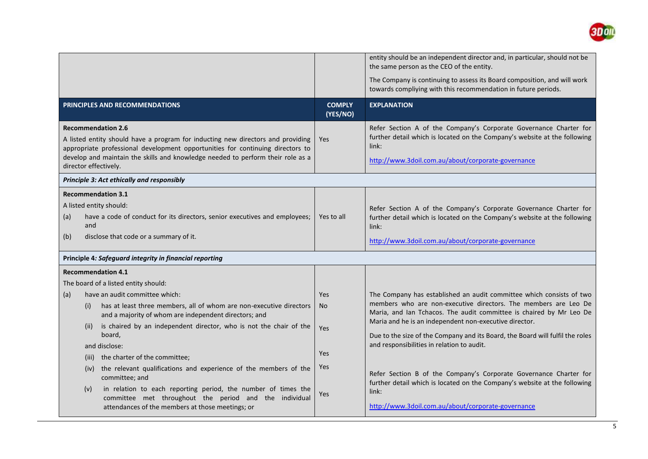

|     | PRINCIPLES AND RECOMMENDATIONS<br><b>Recommendation 2.6</b><br>A listed entity should have a program for inducting new directors and providing                                             | <b>COMPLY</b><br>(YES/NO)<br><b>Yes</b> | entity should be an independent director and, in particular, should not be<br>the same person as the CEO of the entity.<br>The Company is continuing to assess its Board composition, and will work<br>towards compliying with this recommendation in future periods.<br><b>EXPLANATION</b><br>Refer Section A of the Company's Corporate Governance Charter for<br>further detail which is located on the Company's website at the following<br>link: |
|-----|--------------------------------------------------------------------------------------------------------------------------------------------------------------------------------------------|-----------------------------------------|--------------------------------------------------------------------------------------------------------------------------------------------------------------------------------------------------------------------------------------------------------------------------------------------------------------------------------------------------------------------------------------------------------------------------------------------------------|
|     | appropriate professional development opportunities for continuing directors to<br>develop and maintain the skills and knowledge needed to perform their role as a<br>director effectively. |                                         | http://www.3doil.com.au/about/corporate-governance                                                                                                                                                                                                                                                                                                                                                                                                     |
|     | Principle 3: Act ethically and responsibly                                                                                                                                                 |                                         |                                                                                                                                                                                                                                                                                                                                                                                                                                                        |
|     | <b>Recommendation 3.1</b>                                                                                                                                                                  |                                         |                                                                                                                                                                                                                                                                                                                                                                                                                                                        |
| (a) | A listed entity should:<br>have a code of conduct for its directors, senior executives and employees;<br>and                                                                               | Yes to all                              | Refer Section A of the Company's Corporate Governance Charter for<br>further detail which is located on the Company's website at the following<br>link:                                                                                                                                                                                                                                                                                                |
| (b) | disclose that code or a summary of it.                                                                                                                                                     |                                         | http://www.3doil.com.au/about/corporate-governance                                                                                                                                                                                                                                                                                                                                                                                                     |
|     | Principle 4: Safeguard integrity in financial reporting                                                                                                                                    |                                         |                                                                                                                                                                                                                                                                                                                                                                                                                                                        |
|     | <b>Recommendation 4.1</b>                                                                                                                                                                  |                                         |                                                                                                                                                                                                                                                                                                                                                                                                                                                        |
|     | The board of a listed entity should:                                                                                                                                                       |                                         |                                                                                                                                                                                                                                                                                                                                                                                                                                                        |
| (a) | have an audit committee which:                                                                                                                                                             | <b>Yes</b>                              | The Company has established an audit committee which consists of two                                                                                                                                                                                                                                                                                                                                                                                   |
| (i) | has at least three members, all of whom are non-executive directors<br>and a majority of whom are independent directors; and                                                               | No                                      | members who are non-executive directors. The members are Leo De<br>Maria, and Ian Tchacos. The audit committee is chaired by Mr Leo De<br>Maria and he is an independent non-executive director.                                                                                                                                                                                                                                                       |
|     | is chaired by an independent director, who is not the chair of the<br>board,                                                                                                               | Yes                                     | Due to the size of the Company and its Board, the Board will fulfil the roles                                                                                                                                                                                                                                                                                                                                                                          |
|     | and disclose:                                                                                                                                                                              |                                         | and responsibilities in relation to audit.                                                                                                                                                                                                                                                                                                                                                                                                             |
|     | the charter of the committee;<br>(iii)                                                                                                                                                     | Yes                                     |                                                                                                                                                                                                                                                                                                                                                                                                                                                        |
|     | the relevant qualifications and experience of the members of the<br>(iv)<br>committee; and                                                                                                 | Yes                                     | Refer Section B of the Company's Corporate Governance Charter for<br>further detail which is located on the Company's website at the following                                                                                                                                                                                                                                                                                                         |
| (v) | in relation to each reporting period, the number of times the<br>committee met throughout the period and the individual<br>attendances of the members at those meetings; or                | Yes                                     | link:<br>http://www.3doil.com.au/about/corporate-governance                                                                                                                                                                                                                                                                                                                                                                                            |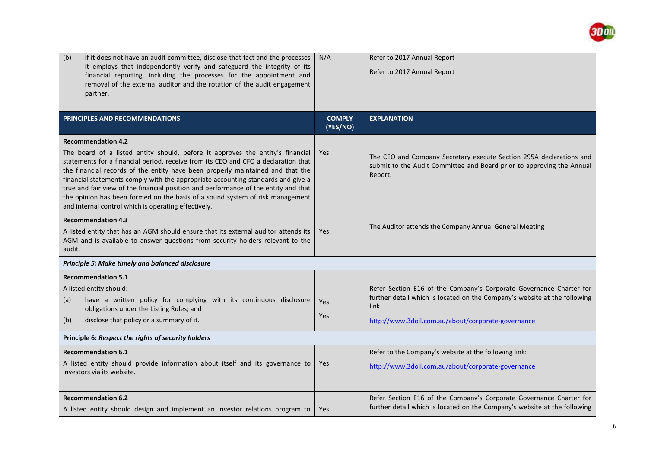

| (b)<br>if it does not have an audit committee, disclose that fact and the processes<br>it employs that independently verify and safeguard the integrity of its<br>financial reporting, including the processes for the appointment and<br>removal of the external auditor and the rotation of the audit engagement<br>partner.                                                                                                                                                                                                                                                                          | N/A                       | Refer to 2017 Annual Report<br>Refer to 2017 Annual Report                                                                                                                                                      |  |
|---------------------------------------------------------------------------------------------------------------------------------------------------------------------------------------------------------------------------------------------------------------------------------------------------------------------------------------------------------------------------------------------------------------------------------------------------------------------------------------------------------------------------------------------------------------------------------------------------------|---------------------------|-----------------------------------------------------------------------------------------------------------------------------------------------------------------------------------------------------------------|--|
| PRINCIPLES AND RECOMMENDATIONS                                                                                                                                                                                                                                                                                                                                                                                                                                                                                                                                                                          | <b>COMPLY</b><br>(YES/NO) | <b>EXPLANATION</b>                                                                                                                                                                                              |  |
| <b>Recommendation 4.2</b><br>The board of a listed entity should, before it approves the entity's financial<br>statements for a financial period, receive from its CEO and CFO a declaration that<br>the financial records of the entity have been properly maintained and that the<br>financial statements comply with the appropriate accounting standards and give a<br>true and fair view of the financial position and performance of the entity and that<br>the opinion has been formed on the basis of a sound system of risk management<br>and internal control which is operating effectively. | Yes                       | The CEO and Company Secretary execute Section 295A declarations and<br>submit to the Audit Committee and Board prior to approving the Annual<br>Report.                                                         |  |
| <b>Recommendation 4.3</b><br>A listed entity that has an AGM should ensure that its external auditor attends its<br>AGM and is available to answer questions from security holders relevant to the<br>audit.                                                                                                                                                                                                                                                                                                                                                                                            | Yes                       | The Auditor attends the Company Annual General Meeting                                                                                                                                                          |  |
| Principle 5: Make timely and balanced disclosure                                                                                                                                                                                                                                                                                                                                                                                                                                                                                                                                                        |                           |                                                                                                                                                                                                                 |  |
| <b>Recommendation 5.1</b><br>A listed entity should:<br>have a written policy for complying with its continuous disclosure<br>(a)<br>obligations under the Listing Rules; and<br>disclose that policy or a summary of it.<br>(b)                                                                                                                                                                                                                                                                                                                                                                        | Yes<br>Yes                | Refer Section E16 of the Company's Corporate Governance Charter for<br>further detail which is located on the Company's website at the following<br>link:<br>http://www.3doil.com.au/about/corporate-governance |  |
| Principle 6: Respect the rights of security holders                                                                                                                                                                                                                                                                                                                                                                                                                                                                                                                                                     |                           |                                                                                                                                                                                                                 |  |
| <b>Recommendation 6.1</b><br>A listed entity should provide information about itself and its governance to<br>investors via its website.                                                                                                                                                                                                                                                                                                                                                                                                                                                                | <b>Yes</b>                | Refer to the Company's website at the following link:<br>http://www.3doil.com.au/about/corporate-governance                                                                                                     |  |
| <b>Recommendation 6.2</b><br>A listed entity should design and implement an investor relations program to                                                                                                                                                                                                                                                                                                                                                                                                                                                                                               | Yes                       | Refer Section E16 of the Company's Corporate Governance Charter for<br>further detail which is located on the Company's website at the following                                                                |  |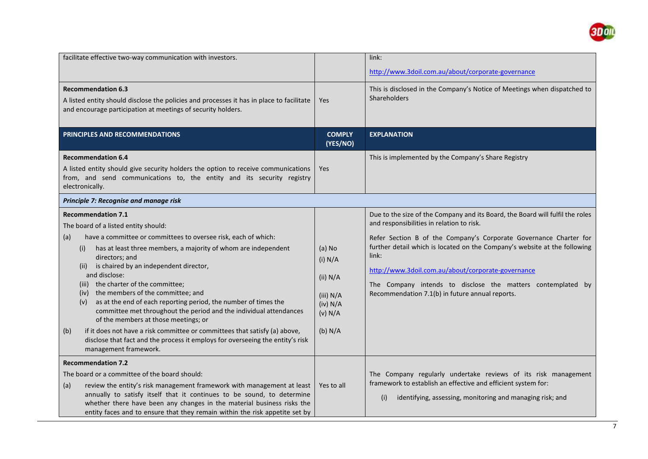

| facilitate effective two-way communication with investors.                                                                                                                                                                                                                                                                                                                                                                                                                                                                                                                                                                                                                                                                                                                           |                                                                              | link:<br>http://www.3doil.com.au/about/corporate-governance                                                                                                                                                                                                                                                                                                                                                                                                   |
|--------------------------------------------------------------------------------------------------------------------------------------------------------------------------------------------------------------------------------------------------------------------------------------------------------------------------------------------------------------------------------------------------------------------------------------------------------------------------------------------------------------------------------------------------------------------------------------------------------------------------------------------------------------------------------------------------------------------------------------------------------------------------------------|------------------------------------------------------------------------------|---------------------------------------------------------------------------------------------------------------------------------------------------------------------------------------------------------------------------------------------------------------------------------------------------------------------------------------------------------------------------------------------------------------------------------------------------------------|
| <b>Recommendation 6.3</b><br>A listed entity should disclose the policies and processes it has in place to facilitate<br>and encourage participation at meetings of security holders.                                                                                                                                                                                                                                                                                                                                                                                                                                                                                                                                                                                                | Yes                                                                          | This is disclosed in the Company's Notice of Meetings when dispatched to<br><b>Shareholders</b>                                                                                                                                                                                                                                                                                                                                                               |
| PRINCIPLES AND RECOMMENDATIONS                                                                                                                                                                                                                                                                                                                                                                                                                                                                                                                                                                                                                                                                                                                                                       | <b>COMPLY</b><br>(YES/NO)                                                    | <b>EXPLANATION</b>                                                                                                                                                                                                                                                                                                                                                                                                                                            |
| <b>Recommendation 6.4</b><br>A listed entity should give security holders the option to receive communications<br>from, and send communications to, the entity and its security registry<br>electronically.<br>Principle 7: Recognise and manage risk                                                                                                                                                                                                                                                                                                                                                                                                                                                                                                                                | Yes                                                                          | This is implemented by the Company's Share Registry                                                                                                                                                                                                                                                                                                                                                                                                           |
| <b>Recommendation 7.1</b><br>The board of a listed entity should:<br>have a committee or committees to oversee risk, each of which:<br>(a)<br>has at least three members, a majority of whom are independent<br>(i)<br>directors; and<br>is chaired by an independent director,<br>(ii)<br>and disclose:<br>(iii) the charter of the committee;<br>the members of the committee; and<br>(iv)<br>as at the end of each reporting period, the number of times the<br>(v)<br>committee met throughout the period and the individual attendances<br>of the members at those meetings; or<br>if it does not have a risk committee or committees that satisfy (a) above,<br>(b)<br>disclose that fact and the process it employs for overseeing the entity's risk<br>management framework. | (a) No<br>(i) N/A<br>(ii) N/A<br>(iii) N/A<br>(iv) N/A<br>(v) N/A<br>(b) N/A | Due to the size of the Company and its Board, the Board will fulfil the roles<br>and responsibilities in relation to risk.<br>Refer Section B of the Company's Corporate Governance Charter for<br>further detail which is located on the Company's website at the following<br>link:<br>http://www.3doil.com.au/about/corporate-governance<br>The Company intends to disclose the matters contemplated by<br>Recommendation 7.1(b) in future annual reports. |
| <b>Recommendation 7.2</b><br>The board or a committee of the board should:<br>review the entity's risk management framework with management at least<br>(a)<br>annually to satisfy itself that it continues to be sound, to determine<br>whether there have been any changes in the material business risks the<br>entity faces and to ensure that they remain within the risk appetite set by                                                                                                                                                                                                                                                                                                                                                                                       | Yes to all                                                                   | The Company regularly undertake reviews of its risk management<br>framework to establish an effective and efficient system for:<br>identifying, assessing, monitoring and managing risk; and<br>(i)                                                                                                                                                                                                                                                           |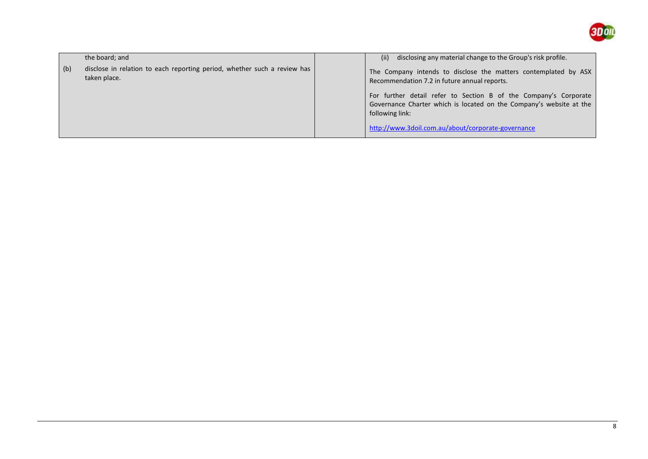

| the board; and                                                                                  | disclosing any material change to the Group's risk profile.<br>(ii)                                                                                        |
|-------------------------------------------------------------------------------------------------|------------------------------------------------------------------------------------------------------------------------------------------------------------|
| disclose in relation to each reporting period, whether such a review has<br>(b)<br>taken place. | The Company intends to disclose the matters contemplated by ASX<br>Recommendation 7.2 in future annual reports.                                            |
|                                                                                                 | For further detail refer to Section B of the Company's Corporate<br>Governance Charter which is located on the Company's website at the<br>following link: |
|                                                                                                 | http://www.3doil.com.au/about/corporate-governance                                                                                                         |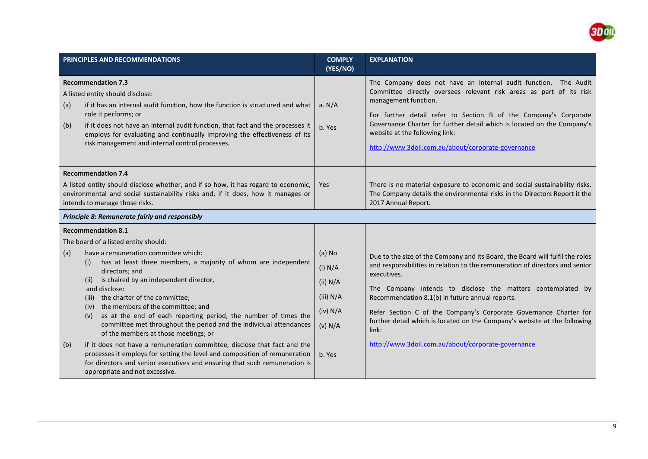

| PRINCIPLES AND RECOMMENDATIONS                                                                                                                                                                                                                                                                                                                                                                                                                                                           | <b>COMPLY</b><br>(YES/NO)                                           | <b>EXPLANATION</b>                                                                                                                                                                                                                                                                                                                                                                                                                                        |
|------------------------------------------------------------------------------------------------------------------------------------------------------------------------------------------------------------------------------------------------------------------------------------------------------------------------------------------------------------------------------------------------------------------------------------------------------------------------------------------|---------------------------------------------------------------------|-----------------------------------------------------------------------------------------------------------------------------------------------------------------------------------------------------------------------------------------------------------------------------------------------------------------------------------------------------------------------------------------------------------------------------------------------------------|
| <b>Recommendation 7.3</b><br>A listed entity should disclose:<br>if it has an internal audit function, how the function is structured and what<br>(a)<br>role it performs; or<br>if it does not have an internal audit function, that fact and the processes it<br>(b)<br>employs for evaluating and continually improving the effectiveness of its<br>risk management and internal control processes.                                                                                   | a. $N/A$<br>b. Yes                                                  | The Company does not have an internal audit function. The Audit<br>Committee directly oversees relevant risk areas as part of its risk<br>management function.<br>For further detail refer to Section B of the Company's Corporate<br>Governance Charter for further detail which is located on the Company's<br>website at the following link:<br>http://www.3doil.com.au/about/corporate-governance                                                     |
| <b>Recommendation 7.4</b><br>A listed entity should disclose whether, and if so how, it has regard to economic,<br>environmental and social sustainability risks and, if it does, how it manages or<br>intends to manage those risks.<br>Principle 8: Remunerate fairly and responsibly                                                                                                                                                                                                  | <b>Yes</b>                                                          | There is no material exposure to economic and social sustainability risks.<br>The Company details the environmental risks in the Directors Report it the<br>2017 Annual Report.                                                                                                                                                                                                                                                                           |
| <b>Recommendation 8.1</b>                                                                                                                                                                                                                                                                                                                                                                                                                                                                |                                                                     |                                                                                                                                                                                                                                                                                                                                                                                                                                                           |
| The board of a listed entity should:                                                                                                                                                                                                                                                                                                                                                                                                                                                     |                                                                     |                                                                                                                                                                                                                                                                                                                                                                                                                                                           |
| have a remuneration committee which:<br>(a)<br>has at least three members, a majority of whom are independent<br>(i)<br>directors; and<br>is chaired by an independent director,<br>(ii)<br>and disclose:<br>the charter of the committee;<br>(iii)<br>the members of the committee; and<br>(iv)<br>as at the end of each reporting period, the number of times the<br>(v)<br>committee met throughout the period and the individual attendances<br>of the members at those meetings; or | $(a)$ No<br>(i) N/A<br>(ii) N/A<br>(iii) N/A<br>(iv) N/A<br>(v) N/A | Due to the size of the Company and its Board, the Board will fulfil the roles<br>and responsibilities in relation to the remuneration of directors and senior<br>executives.<br>The Company intends to disclose the matters contemplated by<br>Recommendation 8.1(b) in future annual reports.<br>Refer Section C of the Company's Corporate Governance Charter for<br>further detail which is located on the Company's website at the following<br>link: |
| if it does not have a remuneration committee, disclose that fact and the<br>(b)<br>processes it employs for setting the level and composition of remuneration<br>for directors and senior executives and ensuring that such remuneration is<br>appropriate and not excessive.                                                                                                                                                                                                            | b. Yes                                                              | http://www.3doil.com.au/about/corporate-governance                                                                                                                                                                                                                                                                                                                                                                                                        |